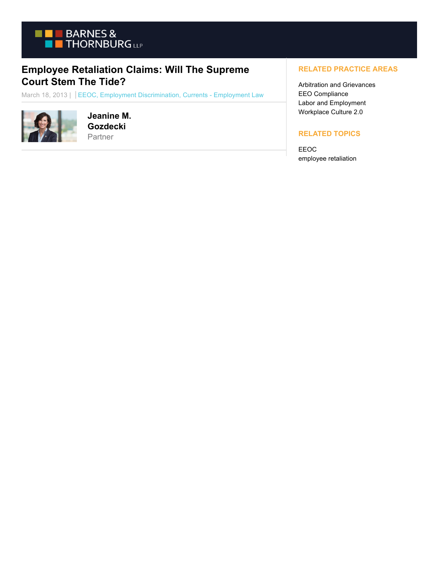

## **Employee Retaliation Claims: Will The Supreme Court Stem The Tide?**

March 18, 2013 | EEOC, Employment Discrimination, Currents - Employment Law



**Jeanine M. Gozdecki** Partner

## **RELATED PRACTICE AREAS**

Arbitration and Grievances EEO Compliance Labor and Employment Workplace Culture 2.0

## **RELATED TOPICS**

EEOC employee retaliation